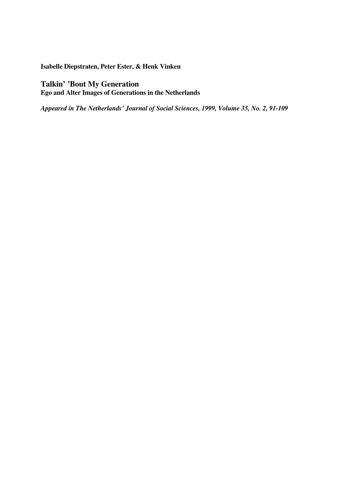**Isabelle Diepstraten, Peter Ester, & Henk Vinken**

# **Talkin' 'Bout My Generation**

**Ego and Alter Images of Generations in the Netherlands**

*Appeared in The Netherlands' Journal of Social Sciences, 1999, Volume 35, No. 2, 91-109*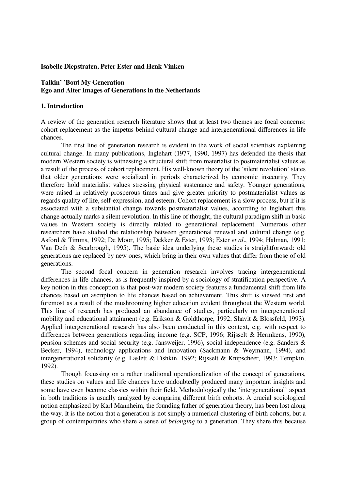## **Isabelle Diepstraten, Peter Ester and Henk Vinken**

# **Talkin' 'Bout My Generation Ego and Alter Images of Generations in the Netherlands**

## **1. Introduction**

A review of the generation research literature shows that at least two themes are focal concerns: cohort replacement as the impetus behind cultural change and intergenerational differences in life chances.

The first line of generation research is evident in the work of social scientists explaining cultural change. In many publications, Inglehart (1977, 1990, 1997) has defended the thesis that modern Western society is witnessing a structural shift from materialist to postmaterialist values as a result of the process of cohort replacement. His well-known theory of the 'silent revolution' states that older generations were socialized in periods characterized by economic insecurity. They therefore hold materialist values stressing physical sustenance and safety. Younger generations, were raised in relatively prosperous times and give greater priority to postmaterialist values as regards quality of life, self-expression, and esteem. Cohort replacement is a slow process, but if it is associated with a substantial change towards postmaterialist values, according to Inglehart this change actually marks a silent revolution. In this line of thought, the cultural paradigm shift in basic values in Western society is directly related to generational replacement. Numerous other researchers have studied the relationship between generational renewal and cultural change (e.g. Asford & Timms, 1992; De Moor, 1995; Dekker & Ester, 1993; Ester *et al*., 1994; Halman, 1991; Van Deth & Scarbrough, 1995). The basic idea underlying these studies is straightforward: old generations are replaced by new ones, which bring in their own values that differ from those of old generations.

The second focal concern in generation research involves tracing intergenerational differences in life chances, as is frequently inspired by a sociology of stratification perspective. A key notion in this conception is that post-war modern society features a fundamental shift from life chances based on ascription to life chances based on achievement. This shift is viewed first and foremost as a result of the mushrooming higher education evident throughout the Western world. This line of research has produced an abundance of studies, particularly on intergenerational mobility and educational attainment (e.g. Erikson & Goldthorpe, 1992; Shavit & Blossfeld, 1993). Applied intergenerational research has also been conducted in this context, e.g. with respect to differences between generations regarding income (e.g. SCP, 1996; Rijsselt & Hermkens, 1990), pension schemes and social security (e.g. Jansweijer, 1996), social independence (e.g. Sanders & Becker, 1994), technology applications and innovation (Sackmann & Weymann, 1994), and intergenerational solidarity (e.g. Laslett & Fishkin, 1992; Rijsselt & Knipscheer, 1993; Tempkin, 1992).

Though focussing on a rather traditional operationalization of the concept of generations, these studies on values and life chances have undoubtedly produced many important insights and some have even become classics within their field. Methodologically the 'intergenerational' aspect in both traditions is usually analyzed by comparing different birth cohorts. A crucial sociological notion emphasized by Karl Mannheim, the founding father of generation theory, has been lost along the way. It is the notion that a generation is not simply a numerical clustering of birth cohorts, but a group of contemporaries who share a sense of *belonging* to a generation. They share this because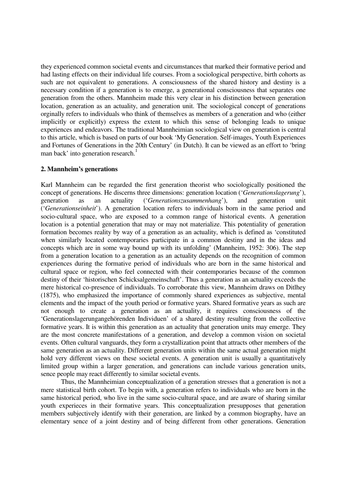they experienced common societal events and circumstances that marked their formative period and had lasting effects on their individual life courses. From a sociological perspective, birth cohorts as such are not equivalent to generations. A consciousness of the shared history and destiny is a necessary condition if a generation is to emerge, a generational consciousness that separates one generation from the others. Mannheim made this very clear in his distinction between generation location, generation as an actuality, and generation unit. The sociological concept of generations orginally refers to individuals who think of themselves as members of a generation and who (either implicitly or explicitly) express the extent to which this sense of belonging leads to unique experiences and endeavors. The traditional Mannheimian sociological view on generation is central to this article, which is based on parts of our book 'My Generation. Self-images, Youth Experiences and Fortunes of Generations in the 20th Century' (in Dutch). It can be viewed as an effort to 'bring man back' into generation research.<sup>1</sup>

# **2. Mannheim's generations**

Karl Mannheim can be regarded the first generation theorist who sociologically positioned the concept of generations. He discerns three dimensions: generation location ('*Generationslagerung*'), generation as an actuality ('*Generationszusammenhang*'), and generation unit ('*Generationseinheit*'). A generation location refers to individuals born in the same period and socio-cultural space, who are exposed to a common range of historical events. A generation location is a potential generation that may or may not materialize. This potentiality of generation formation becomes reality by way of a generation as an actuality, which is defined as 'constituted when similarly located contemporaries participate in a common destiny and in the ideas and concepts which are in some way bound up with its unfolding' (Mannheim, 1952: 306). The step from a generation location to a generation as an actuality depends on the recognition of common experiences during the formative period of individuals who are born in the same historical and cultural space or region, who feel connected with their contemporaries because of the common destiny of their 'historischen Schicksalgemeinschaft'. Thus a generation as an actuality exceeds the mere historical co-presence of individuals. To corroborate this view, Mannheim draws on Ditlhey (1875), who emphasized the importance of commonly shared experiences as subjective, mental elements and the impact of the youth period or formative years. Shared formative years as such are not enough to create a generation as an actuality, it requires consciousness of the 'Generationslagerungangehörenden Individuen' of a shared destiny resulting from the collective formative years. It is within this generation as an actuality that generation units may emerge. They are the most concrete manifestations of a generation, and develop a common vision on societal events. Often cultural vanguards, they form a crystallization point that attracts other members of the same generation as an actuality. Different generation units within the same actual generation might hold very different views on these societal events. A generation unit is usually a quantitatively limited group within a larger generation, and generations can include various generation units, sence people may react differently to similar societal events.

Thus, the Mannheimian conceptualization of a generation stresses that a generation is not a mere statistical birth cohort. To begin with, a generation refers to individuals who are born in the same historical period, who live in the same socio-cultural space, and are aware of sharing similar youth experieces in their formative years. This conceptualization presupposes that generation members subjectively identify with their generation, are linked by a common biography, have an elementary sence of a joint destiny and of being different from other generations. Generation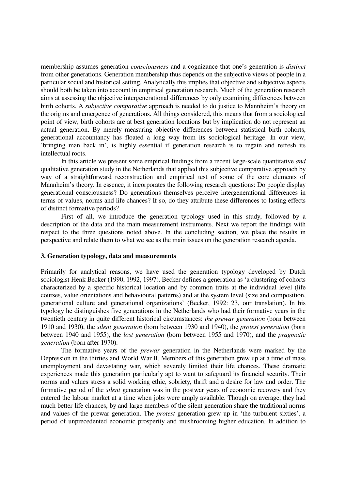membership assumes generation *consciousness* and a cognizance that one's generation is *distinct* from other generations. Generation membership thus depends on the subjective views of people in a particular social and historical setting. Analytically this implies that objective and subjective aspects should both be taken into account in empirical generation research. Much of the generation research aims at assessing the objective intergenerational differences by only examining differences between birth cohorts. A *subjective comparative* approach is needed to do justice to Mannheim's theory on the origins and emergence of generations. All things considered, this means that from a sociological point of view, birth cohorts are at best generation locations but by implication do not represent an actual generation. By merely measuring objective differences between statistical birth cohorts, generational accountancy has floated a long way from its sociological heritage. In our view, 'bringing man back in', is highly essential if generation research is to regain and refresh its intellectual roots.

In this article we present some empirical findings from a recent large-scale quantitative *and* qualitative generation study in the Netherlands that applied this subjective comparative approach by way of a straightforward reconstruction and empirical test of some of the core elements of Mannheim's theory. In essence, it incorporates the following research questions: Do people display generational consciousness? Do generations themselves perceive intergenerational differences in terms of values, norms and life chances? If so, do they attribute these differences to lasting effects of distinct formative periods?

First of all, we introduce the generation typology used in this study, followed by a description of the data and the main measurement instruments. Next we report the findings with respect to the three questions noted above. In the concluding section, we place the results in perspective and relate them to what we see as the main issues on the generation research agenda.

# **3. Generation typology, data and measurements**

Primarily for analytical reasons, we have used the generation typology developed by Dutch sociologist Henk Becker (1990, 1992, 1997). Becker defines a generation as 'a clustering of cohorts characterized by a specific historical location and by common traits at the individual level (life courses, value orientations and behavioural patterns) and at the system level (size and composition, generational culture and generational organizations' (Becker, 1992: 23, our translation). In his typology he distinguishes five generations in the Netherlands who had their formative years in the twentieth century in quite different historical circumstances: *the prewar generation* (born between 1910 and 1930), the *silent generation* (born between 1930 and 1940), the *protest generation* (born between 1940 and 1955), the *lost generation* (born between 1955 and 1970), and the *pragmatic generation* (born after 1970).

The formative years of the *prewar* generation in the Netherlands were marked by the Depression in the thirties and World War II. Members of this generation grew up at a time of mass unemployment and devastating war, which severely limited their life chances. These dramatic experiences made this generation particularly apt to want to safeguard its financial security. Their norms and values stress a solid working ethic, sobriety, thrift and a desire for law and order. The formative period of the *silent* generation was in the postwar years of economic recovery and they entered the labour market at a time when jobs were amply available. Though on average, they had much better life chances, by and large members of the silent generation share the traditional norms and values of the prewar generation. The *protest* generation grew up in 'the turbulent sixties', a period of unprecedented economic prosperity and mushrooming higher education. In addition to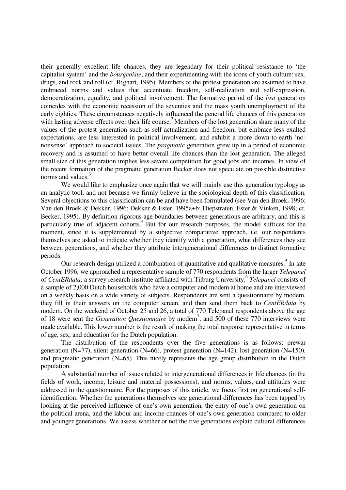their generally excellent life chances, they are legendary for their political resistance to 'the capitalist system' and the *bourgeoisie*, and their experimenting with the icons of youth culture: sex, drugs, and rock and roll (cf. Righart, 1995). Members of the protest generation are assumed to have embraced norms and values that accentuate freedom, self-realization and self-expression, democratization, equality, and political involvement. The formative period of the *lost* generation coincides with the economic recession of the seventies and the mass youth unemployment of the early eighties. These circumstances negatively influenced the general life chances of this generation with lasting adverse effects over their life course.<sup>2</sup> Members of the lost generation share many of the values of the protest generation such as self-actualization and freedom, but embrace less exalted expectations, are less interested in political involvement, and exhibit a more down-to-earth 'nononsense' approach to societal issues. The *pragmatic* generation grew up in a period of economic recovery and is assumed to have better overall life chances than the lost generation. The alleged small size of this generation implies less severe competition for good jobs and incomes. In view of the recent formation of the pragmatic generation Becker does not speculate on possible distinctive norms and values.<sup>3</sup>

We would like to emphasize once again that we will mainly use this generation typology as an analytic tool, and not because we firmly believe in the sociological depth of this classification. Several objections to this classification can be and have been formulated (see Van den Broek, 1996; Van den Broek & Dekker, 1996; Dekker & Ester, 1995a+b; Diepstraten, Ester & Vinken, 1998; cf. Becker, 1995). By definition rigorous age boundaries between generations are arbitrary, and this is particularly true of adjacent cohorts.<sup>4</sup> But for our research purposes, the model suffices for the moment, since it is supplemented by a subjective comparative approach, i.e. our respondents themselves are asked to indicate whether they identify with a generation, what differences they see between generations, and whether they attribute intergenerational differences to distinct formative periods.

Our research design utilized a combination of quantitative and qualitative measures.<sup>5</sup> In late October 1996, we approached a representative sample of 770 respondents from the larger *Telepanel* of *CentERdata*, a survey research institute affiliated with Tilburg University. 6 *Telepanel* consists of a sample of 2,000 Dutch households who have a computer and modem at home and are interviewed on a weekly basis on a wide variety of subjects. Respondents are sent a questionnaire by modem, they fill in their answers on the computer screen, and then send them back to *CentERdata* by modem. On the weekend of October 25 and 26, a total of 770 Telepanel respondents above the age of 18 were sent the *Generation Questionnaire* by modem 7 , and 500 of these 770 interviews were made available. This lower number is the result of making the total response representative in terms of age, sex, and education for the Dutch population.

The distribution of the respondents over the five generations is as follows: prewar generation (N=77), silent generation (N=66), protest generation (N=142), lost generation (N=150), and pragmatic generation (N=65). This nicely represents the age group distribution in the Dutch population.

A substantial number of issues related to intergenerational differences in life chances (in the fields of work, income, leisure and material possessions), and norms, values, and attitudes were addressed in the questionnaire. For the purposes of this article, we focus first on generational selfidentification. Whether the generations themselves see generational differences has been tapped by looking at the perceived influence of one's own generation, the entry of one's own generation on the political arena, and the labour and income chances of one's own generation compared to older and younger generations. We assess whether or not the five generations explain cultural differences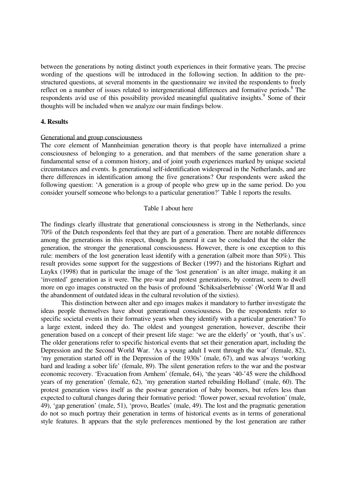between the generations by noting distinct youth experiences in their formative years. The precise wording of the questions will be introduced in the following section. In addition to the prestructured questions, at several moments in the questionnaire we invited the respondents to freely reflect on a number of issues related to intergenerational differences and formative periods.<sup>8</sup> The respondents avid use of this possibility provided meaningful qualitative insights.<sup>9</sup> Some of their thoughts will be included when we analyze our main findings below.

# **4. Results**

# Generational and group consciousness

The core element of Mannheimian generation theory is that people have internalized a prime consciousness of belonging to a generation, and that members of the same generation share a fundamental sense of a common history, and of joint youth experiences marked by unique societal circumstances and events. Is generational self-identification widespread in the Netherlands, and are there differences in identification among the five generations? Our respondents were asked the following question: 'A generation is a group of people who grew up in the same period. Do you consider yourself someone who belongs to a particular generation?' Table 1 reports the results.

# Table 1 about here

The findings clearly illustrate that generational consciousness is strong in the Netherlands, since 70% of the Dutch respondents feel that they are part of a generation. There are notable differences among the generations in this respect, though. In general it can be concluded that the older the generation, the stronger the generational consciousness. However, there is one exception to this rule: members of the lost generation least identify with a generation (albeit more than 50%). This result provides some support for the suggestions of Becker (1997) and the historians Righart and Luykx (1998) that in particular the image of the 'lost generation' is an alter image, making it an 'invented' generation as it were. The pre-war and protest generations, by contrast, seem to dwell more on ego images constructed on the basis of profound 'Schiksalserlebnisse' (World War II and the abandonment of outdated ideas in the cultural revolution of the sixties).

This distinction between alter and ego images makes it mandatory to further investigate the ideas people themselves have about generational consciousness. Do the respondents refer to specific societal events in their formative years when they identify with a particular generation? To a large extent, indeed they do. The oldest and youngest generation, however, describe their generation based on a concept of their present life stage: 'we are the elderly' or 'youth, that's us'. The older generations refer to specific historical events that set their generation apart, including the Depression and the Second World War. 'As a young adult I went through the war' (female, 82), 'my generation started off in the Depression of the 1930s' (male, 67), and was always 'working hard and leading a sober life' (female, 89). The silent generation refers to the war and the postwar economic recovery. 'Evacuation from Arnhem' (female, 64), 'the years '40-'45 were the childhood years of my generation' (female, 62), 'my generation started rebuilding Holland' (male, 60). The protest generation views itself as the postwar generation of baby boomers, but refers less than expected to cultural changes during their formative period: 'flower power, sexual revolution' (male, 49), 'gap generation' (male, 51), 'provo, Beatles' (male, 49). The lost and the pragmatic generation do not so much portray their generation in terms of historical events as in terms of generational style features. It appears that the style preferences mentioned by the lost generation are rather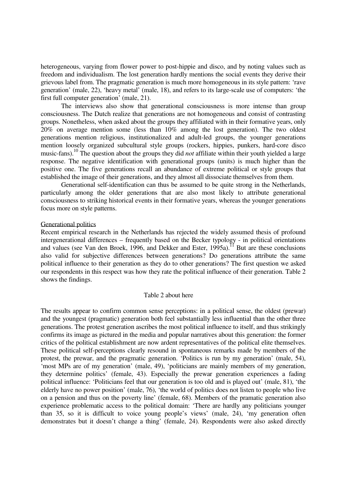heterogeneous, varying from flower power to post-hippie and disco, and by noting values such as freedom and individualism. The lost generation hardly mentions the social events they derive their grievous label from. The pragmatic generation is much more homogeneous in its style pattern: 'rave generation' (male, 22), 'heavy metal' (male, 18), and refers to its large-scale use of computers: 'the first full computer generation' (male, 21).

The interviews also show that generational consciousness is more intense than group consciousness. The Dutch realize that generations are not homogeneous and consist of contrasting groups. Nonetheless, when asked about the groups they affiliated with in their formative years, only 20% on average mention some (less than 10% among the lost generation). The two oldest generations mention religious, institutionalized and adult-led groups, the younger generations mention loosely organized subcultural style groups (rockers, hippies, punkers, hard-core disco music-fans). 10 The question about the groups they did *not* affiliate within their youth yielded a large response. The negative identification with generational groups (units) is much higher than the positive one. The five generations recall an abundance of extreme political or style groups that established the image of their generations, and they almost all dissociate themselves from them.

Generational self-identification can thus be assumed to be quite strong in the Netherlands, particularly among the older generations that are also most likely to attribute generational consciousness to striking historical events in their formative years, whereas the younger generations focus more on style patterns.

#### Generational politics

Recent empirical research in the Netherlands has rejected the widely assumed thesis of profound intergenerational differences – frequently based on the Becker typology - in political orientations and values (see Van den Broek, 1996, and Dekker and Ester, 1995a).<sup>II</sup> But are these conclusions also valid for subjective differences between generations? Do generations attribute the same political influence to their generation as they do to other generations? The first question we asked our respondents in this respect was how they rate the political influence of their generation. Table 2 shows the findings.

#### Table 2 about here

The results appear to confirm common sense perceptions: in a political sense, the oldest (prewar) and the youngest (pragmatic) generation both feel substantially less influential than the other three generations. The protest generation ascribes the most political influence to itself, and thus strikingly confirms its image as pictured in the media and popular narratives about this generation: the former critics of the political establishment are now ardent representatives of the political elite themselves. These political self-perceptions clearly resound in spontaneous remarks made by members of the protest, the prewar, and the pragmatic generation. 'Politics is run by my generation' (male, 54), 'most MPs are of my generation' (male, 49), 'politicians are mainly members of my generation, they determine politics' (female, 43). Especially the prewar generation experiences a fading political influence: 'Politicians feel that our generation is too old and is played out' (male, 81), 'the elderly have no power position' (male, 76), 'the world of politics does not listen to people who live on a pension and thus on the poverty line' (female, 68). Members of the pramatic generation also experience problematic access to the political domain: 'There are hardly any politicians younger than 35, so it is difficult to voice young people's views' (male, 24), 'my generation often demonstrates but it doesn't change a thing' (female, 24). Respondents were also asked directly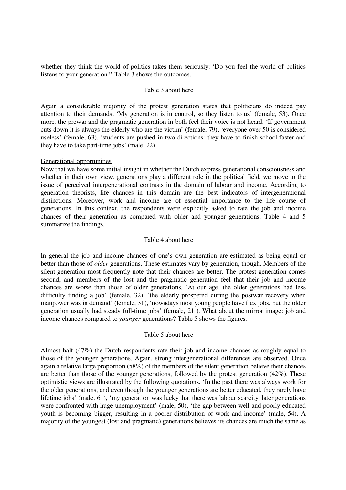whether they think the world of politics takes them seriously: 'Do you feel the world of politics listens to your generation?' Table 3 shows the outcomes.

#### Table 3 about here

Again a considerable majority of the protest generation states that politicians do indeed pay attention to their demands. 'My generation is in control, so they listen to us' (female, 53). Once more, the prewar and the pragmatic generation in both feel their voice is not heard. 'If government cuts down it is always the elderly who are the victim' (female, 79), 'everyone over 50 is considered useless' (female, 63), 'students are pushed in two directions: they have to finish school faster and they have to take part-time jobs' (male, 22).

# Generational opportunities

Now that we have some initial insight in whether the Dutch express generational consciousness and whether in their own view, generations play a different role in the political field, we move to the issue of perceived intergenerational contrasts in the domain of labour and income. According to generation theorists, life chances in this domain are the best indicators of intergenerational distinctions. Moreover, work and income are of essential importance to the life course of generations. In this context, the respondents were explicitly asked to rate the job and income chances of their generation as compared with older and younger generations. Table 4 and 5 summarize the findings.

#### Table 4 about here

In general the job and income chances of one's own generation are estimated as being equal or better than those of *older* generations. These estimates vary by generation, though. Members of the silent generation most frequently note that their chances are better. The protest generation comes second, and members of the lost and the pragmatic generation feel that their job and income chances are worse than those of older generations. 'At our age, the older generations had less difficulty finding a job' (female, 32), 'the elderly prospered during the postwar recovery when manpower was in demand' (female, 31), 'nowadays most young people have flex jobs, but the older generation usually had steady full-time jobs' (female, 21 ). What about the mirror image: job and income chances compared to *younger* generations? Table 5 shows the figures.

#### Table 5 about here

Almost half (47%) the Dutch respondents rate their job and income chances as roughly equal to those of the younger generations. Again, strong intergenerational differences are observed. Once again a relative large proportion (58%) of the members of the silent generation believe their chances are better than those of the younger generations, followed by the protest generation  $(42\%)$ . These optimistic views are illustrated by the following quotations. 'In the past there was always work for the older generations, and even though the younger generations are better educated, they rarely have lifetime jobs' (male, 61), 'my generation was lucky that there was labour scarcity, later generations were confronted with huge unemployment' (male, 50), 'the gap between well and poorly educated youth is becoming bigger, resulting in a poorer distribution of work and income' (male, 54). A majority of the youngest (lost and pragmatic) generations believes its chances are much the same as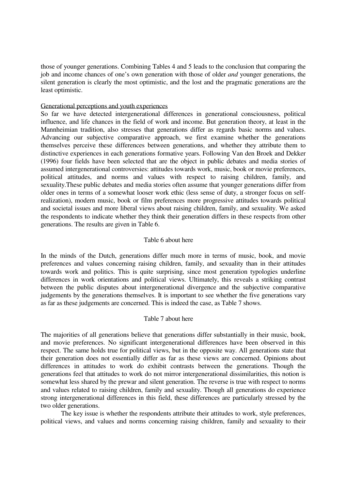those of younger generations. Combining Tables 4 and 5 leads to the conclusion that comparing the job and income chances of one's own generation with those of older *and* younger generations, the silent generation is clearly the most optimistic, and the lost and the pragmatic generations are the least optimistic.

# Generational perceptions and youth experiences

So far we have detected intergenerational differences in generational consciousness, political influence, and life chances in the field of work and income. But generation theory, at least in the Mannheimian tradition, also stresses that generations differ as regards basic norms and values. Advancing our subjective comparative approach, we first examine whether the generations themselves perceive these differences between generations, and whether they attribute them to distinctive experiences in each generations formative years. Following Van den Broek and Dekker (1996) four fields have been selected that are the object in public debates and media stories of assumed intergenerational controversies: attitudes towards work, music, book or movie preferences, political attitudes, and norms and values with respect to raising children, family, and sexuality.These public debates and media stories often assume that younger generations differ from older ones in terms of a somewhat looser work ethic (less sense of duty, a stronger focus on selfrealization), modern music, book or film preferences more progressive attitudes towards political and societal issues and more liberal views about raising children, family, and sexuality. We asked the respondents to indicate whether they think their generation differs in these respects from other generations. The results are given in Table 6.

# Table 6 about here

In the minds of the Dutch, generations differ much more in terms of music, book, and movie preferences and values concerning raising children, family, and sexuality than in their attitudes towards work and politics. This is quite surprising, since most generation typologies underline differences in work orientations and political views. Ultimately, this reveals a striking contrast between the public disputes about intergenerational divergence and the subjective comparative judgements by the generations themselves. It is important to see whether the five generations vary as far as these judgements are concerned. This is indeed the case, as Table 7 shows.

# Table 7 about here

The majorities of all generations believe that generations differ substantially in their music, book, and movie preferences. No significant intergenerational differences have been observed in this respect. The same holds true for political views, but in the opposite way. All generations state that their generation does not essentially differ as far as these views are concerned. Opinions about differences in attitudes to work do exhibit contrasts between the generations. Though the generations feel that attitudes to work do not mirror intergenerational dissimilarities, this notion is somewhat less shared by the prewar and silent generation. The reverse is true with respect to norms and values related to raising children, family and sexuality. Though all generations do experience strong intergenerational differences in this field, these differences are particularly stressed by the two older generations.

The key issue is whether the respondents attribute their attitudes to work, style preferences, political views, and values and norms concerning raising children, family and sexuality to their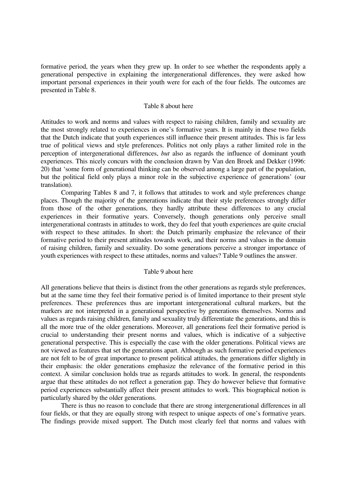formative period, the years when they grew up. In order to see whether the respondents apply a generational perspective in explaining the intergenerational differences, they were asked how important personal experiences in their youth were for each of the four fields. The outcomes are presented in Table 8.

# Table 8 about here

Attitudes to work and norms and values with respect to raising children, family and sexuality are the most strongly related to experiences in one's formative years. It is mainly in these two fields that the Dutch indicate that youth experiences still influence their present attitudes. This is far less true of political views and style preferences. Politics not only plays a rather limited role in the perception of intergenerational differences, *but* also as regards the influence of dominant youth experiences. This nicely concurs with the conclusion drawn by Van den Broek and Dekker (1996: 20) that 'some form of generational thinking can be observed among a large part of the population, but the political field only plays a minor role in the subjective experience of generations' (our translation).

Comparing Tables 8 and 7, it follows that attitudes to work and style preferences change places. Though the majority of the generations indicate that their style preferences strongly differ from those of the other generations, they hardly attribute these differences to any crucial experiences in their formative years. Conversely, though generations only perceive small intergenerational contrasts in attitudes to work, they do feel that youth experiences are quite crucial with respect to these attitudes. In short: the Dutch primarily emphasize the relevance of their formative period to their present attitudes towards work, and their norms and values in the domain of raising children, family and sexuality. Do some generations perceive a stronger importance of youth experiences with respect to these attitudes, norms and values? Table 9 outlines the answer.

#### Table 9 about here

All generations believe that theirs is distinct from the other generations as regards style preferences, but at the same time they feel their formative period is of limited importance to their present style preferences. These preferences thus are important intergenerational cultural markers, but the markers are not interpreted in a generational perspective by generations themselves. Norms and values as regards raising children, family and sexuality truly differentiate the generations, and this is all the more true of the older generations. Moreover, all generations feel their formative period is crucial to understanding their present norms and values, which is indicative of a subjective generational perspective. This is especially the case with the older generations. Political views are not viewed as features that set the generations apart. Although as such formative period experiences are not felt to be of great importance to present political attitudes, the generations differ slightly in their emphasis: the older generations emphasize the relevance of the formative period in this context. A similar conclusion holds true as regards attitudes to work. In general, the respondents argue that these attitudes do not reflect a generation gap. They do however believe that formative period experiences substantially affect their present attitudes to work. This biographical notion is particularly shared by the older generations.

There is thus no reason to conclude that there are strong intergenerational differences in all four fields, or that they are equally strong with respect to unique aspects of one's formative years. The findings provide mixed support. The Dutch most clearly feel that norms and values with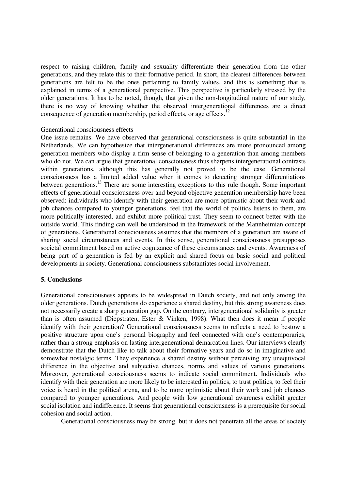respect to raising children, family and sexuality differentiate their generation from the other generations, and they relate this to their formative period. In short, the clearest differences between generations are felt to be the ones pertaining to family values, and this is something that is explained in terms of a generational perspective. This perspective is particularly stressed by the older generations. It has to be noted, though, that given the non-longitudinal nature of our study, there is no way of knowing whether the observed intergenerational differences are a direct consequence of generation membership, period effects, or age effects.<sup>12</sup>

# Generational consciousness effects

One issue remains. We have observed that generational consciousness is quite substantial in the Netherlands. We can hypothesize that intergenerational differences are more pronounced among generation members who display a firm sense of belonging to a generation than among members who do not. We can argue that generational consciousness thus sharpens intergenerational contrasts within generations, although this has generally not proved to be the case. Generational consciousness has a limited added value when it comes to detecting stronger differentiations between generations.<sup>13</sup> There are some interesting exceptions to this rule though. Some important effects of generational consciousness over and beyond objective generation membership have been observed: individuals who identify with their generation are more optimistic about their work and job chances compared to younger generations, feel that the world of politics listens to them, are more politically interested, and exhibit more political trust. They seem to connect better with the outside world. This finding can well be understood in the framework of the Mannheimian concept of generations. Generational consciousness assumes that the members of a generation are aware of sharing social circumstances and events. In this sense, generational consciousness presupposes societal commitment based on active cognizance of these circumstances and events. Awareness of being part of a generation is fed by an explicit and shared focus on basic social and political developments in society. Generational consciousness substantiates social involvement.

# **5. Conclusions**

Generational consciousness appears to be widespread in Dutch society, and not only among the older generations. Dutch generations do experience a shared destiny, but this strong awareness does not necessarily create a sharp generation gap. On the contrary, intergenerational solidarity is greater than is often assumed (Diepstraten, Ester & Vinken, 1998). What then does it mean if people identify with their generation? Generational consciousness seems to reflects a need to bestow a positive structure upon one's personal biography and feel connected with one's contemporaries, rather than a strong emphasis on lasting intergenerational demarcation lines. Our interviews clearly demonstrate that the Dutch like to talk about their formative years and do so in imaginative and somewhat nostalgic terms. They experience a shared destiny without perceiving any unequivocal difference in the objective and subjective chances, norms and values of various generations. Moreover, generational consciousness seems to indicate social commitment. Individuals who identify with their generation are more likely to be interested in politics, to trust politics, to feel their voice is heard in the political arena, and to be more optimistic about their work and job chances compared to younger generations. And people with low generational awareness exhibit greater social isolation and indifference. It seems that generational consciousness is a prerequisite for social cohesion and social action.

Generational consciousness may be strong, but it does not penetrate all the areas of society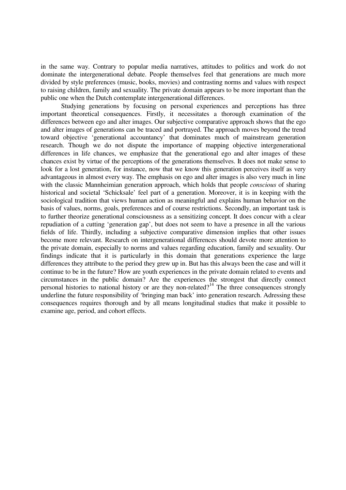in the same way. Contrary to popular media narratives, attitudes to politics and work do not dominate the intergenerational debate. People themselves feel that generations are much more divided by style preferences (music, books, movies) and contrasting norms and values with respect to raising children, family and sexuality. The private domain appears to be more important than the public one when the Dutch contemplate intergenerational differences.

Studying generations by focusing on personal experiences and perceptions has three important theoretical consequences. Firstly, it necessitates a thorough examination of the differences between ego and alter images. Our subjective comparative approach shows that the ego and alter images of generations can be traced and portrayed. The approach moves beyond the trend toward objective 'generational accountancy' that dominates much of mainstream generation research. Though we do not dispute the importance of mapping objective intergenerational differences in life chances, we emphasize that the generational ego and alter images of these chances exist by virtue of the perceptions of the generations themselves. It does not make sense to look for a lost generation, for instance, now that we know this generation perceives itself as very advantageous in almost every way. The emphasis on ego and alter images is also very much in line with the classic Mannheimian generation approach, which holds that people *conscious* of sharing historical and societal 'Schicksale' feel part of a generation. Moreover, it is in keeping with the sociological tradition that views human action as meaningful and explains human behavior on the basis of values, norms, goals, preferences and of course restrictions. Secondly, an important task is to further theorize generational consciousness as a sensitizing concept. It does concur with a clear repudiation of a cutting 'generation gap', but does not seem to have a presence in all the various fields of life. Thirdly, including a subjective comparative dimension implies that other issues become more relevant. Research on intergenerational differences should devote more attention to the private domain, especially to norms and values regarding education, family and sexuality. Our findings indicate that it is particularly in this domain that generations experience the large differences they attribute to the period they grew up in. But has this always been the case and will it continue to be in the future? How are youth experiences in the private domain related to events and circumstances in the public domain? Are the experiences the strongest that directly connect personal histories to national history or are they non-related?<sup>14</sup> The three consequences strongly underline the future responsibility of 'bringing man back' into generation research. Adressing these consequences requires thorough and by all means longitudinal studies that make it possible to examine age, period, and cohort effects.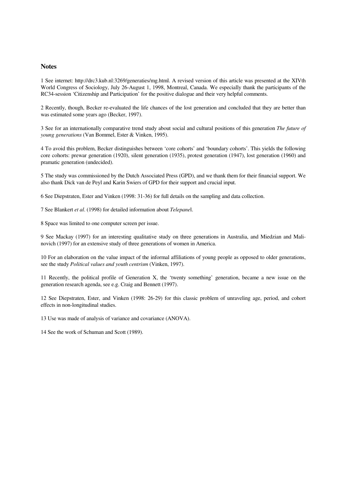#### **Notes**

1 See internet: http://drc3.kub.nl:3269/generaties/mg.html. A revised version of this article was presented at the XIVth World Congress of Sociology, July 26-August 1, 1998, Montreal, Canada. We especially thank the participants of the RC34-session 'Citizenship and Participation' for the positive dialogue and their very helpful comments.

2 Recently, though, Becker re-evaluated the life chances of the lost generation and concluded that they are better than was estimated some years ago (Becker, 1997).

3 See for an internationally comparative trend study about social and cultural positions of this generation *The future of young generations* (Van Bommel, Ester & Vinken, 1995).

4 To avoid this problem, Becker distinguishes between 'core cohorts' and 'boundary cohorts'. This yields the following core cohorts: prewar generation (1920), silent generation (1935), protest generation (1947), lost generation (1960) and pramatic generation (undecided).

5 The study was commissioned by the Dutch Associated Press (GPD), and we thank them for their financial support. We also thank Dick van de Peyl and Karin Swiers of GPD for their support and crucial input.

6 See Diepstraten, Ester and Vinken (1998: 31-36) for full details on the sampling and data collection.

7 See Blankert *et al*. (1998) for detailed information about *Telepane*l.

8 Space was limited to one computer screen per issue.

9 See Mackay (1997) for an interesting qualitative study on three generations in Australia, and Miedzian and Malinovich (1997) for an extensive study of three generations of women in America.

10 For an elaboration on the value impact of the informal affiliations of young people as opposed to older generations, see the study *Political values and youth centrism* (Vinken, 1997).

11 Recently, the political profile of Generation X, the 'twenty something' generation, became a new issue on the generation research agenda, see e.g. Craig and Bennett (1997).

12 See Diepstraten, Ester, and Vinken (1998: 26-29) for this classic problem of unraveling age, period, and cohort effects in non-longitudinal studies.

13 Use was made of analysis of variance and covariance (ANOVA).

14 See the work of Schuman and Scott (1989).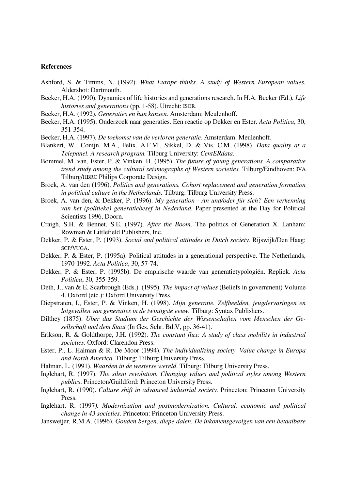# **References**

- Ashford, S. & Timms, N. (1992). *What Europe thinks. A study of Western European values.* Aldershot: Dartmouth.
- Becker, H.A. (1990). Dynamics of life histories and generations research. In H.A. Becker (Ed.), *Life histories and generations* (pp. 1-58). Utrecht: ISOR.
- Becker, H.A. (1992). *Generaties en hun kansen.* Amsterdam: Meulenhoff.
- Becker, H.A. (1995). Onderzoek naar generaties. Een reactie op Dekker en Ester. *Acta Politica*, 30, 351-354.
- Becker, H.A. (1997). *De toekomst van de verloren generatie.* Amsterdam: Meulenhoff.
- Blankert, W., Conijn, M.A., Felix, A.F.M., Sikkel, D. & Vis, C.M. (1998). *Data quality at a Telepanel. A research program.* Tilburg University: *CentERdata.*
- Bommel, M. van, Ester, P. & Vinken, H. (1995). *The future of young generations. A comparative trend study among the cultural seismographs of Western societies.* Tilburg/Eindhoven: IVA Tilburg/HBRC Philips Corporate Design.
- Broek, A. van den (1996). *Politics and generations. Cohort replacement and generation formation in political culture in the Netherlands.* Tilburg: Tilburg University Press.
- Broek, A. van den, & Dekker, P. (1996). *My generation - An und/oder für sich? Een verkenning van het (politieke) generatiebesef in Nederland.* Paper presented at the Day for Political Scientists 1996, Doorn.
- Craigh, S.H. & Bennet, S.E. (1997). *After the Boom*. The politics of Generation X. Lanham: Rowman & Littlefield Publishers, Inc.
- Dekker, P. & Ester, P. (1993). *Social and political attitudes in Dutch society.* Rijswijk/Den Haag: SCP/VUGA.
- Dekker, P. & Ester, P. (1995a). Political attitudes in a generational perspective. The Netherlands, 1970-1992. *Acta Politica*, 30, 57-74.
- Dekker, P. & Ester, P. (1995b). De empirische waarde van generatietypologiën. Repliek. *Acta Politica*, 30, 355-359.
- Deth, J., van & E. Scarbrough (Eds.). (1995). *The impact of values* (Beliefs in government) Volume 4. Oxford (etc.): Oxford University Press.
- Diepstraten, I., Ester, P. & Vinken, H. (1998). *Mijn generatie. Zelfbeelden, jeugdervaringen en lotgevallen van generaties in de twintigste eeuw.* Tilburg: Syntax Publishers.
- Dilthey (1875). *Uber das Studium der Geschichte der Wissenschaften vom Menschen der Gesellschaft und dem Staat* (In Ges. Schr. Bd.V, pp. 36-41).
- Erikson, R. & Goldthorpe, J.H. (1992). *The constant flux: A study of class mobility in industrial societies*. Oxford: Clarendon Press.
- Ester, P., L. Halman & R. De Moor (1994). *The individualizing society. Value change in Europa and North America*. Tilburg: Tilburg University Press.
- Halman, L. (1991). *Waarden in de westerse wereld*. Tilburg: Tilburg University Press.
- Inglehart, R. (1997). *The silent revolution. Changing values and political styles among Western publics*. Princeton/Guildford: Princeton University Press.
- Inglehart, R. (1990). *Culture shift in advanced industrial society.* Princeton: Princeton University Press.
- Inglehart, R. (1997*). Modernization and postmodernization. Cultural, economic and political change in 43 societies*. Princeton: Princeton University Press.
- Jansweijer, R.M.A. (1996). *Gouden bergen, diepe dalen. De inkomensgevolgen van een betaalbare*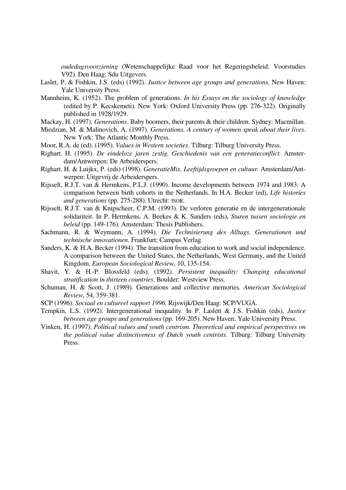*oudedagsvoorziening* (Wetenschappelijke Raad voor het Regeringsbeleid. Voorstudies V92). Den Haag: Sdu Uitgevers.

- Laslet, P. & Fishkin, J.S. (eds) (1992). *Justice between age groups and generations.* New Haven: Yale University Press.
- Mannheim, K. (1952). The problem of generations. *In his Essays on the sociology of knowledge* (edited by P. Kecskemeti). New York: Oxford University Press (pp. 276-322). Originally published in 1928/1929.
- Mackay, H. (1997). *Generations*. Baby boomers, their parents & their children. Sydney: Macmillan.
- Miedzian, M. & Malinovich, A. (1997). *Generations. A century of women speak about their lives*. New York: The Atlantic Monthly Press.
- Moor, R.A. de (ed). (1995). *Values in Western societies*. Tilburg: Tilburg University Press.
- Righart, H. (1995). *De eindeloze jaren zestig. Geschiedenis van een generatieconflict.* Amsterdam/Antwerpen: De Arbeiderspers.
- Righart, H. & Luijkx, P. (eds) (1998). *GeneratieMix. Leeftijdsgroepen en cultuur.* Amsterdam/Antwerpen: Uitgevrij de Arbeiderspers.
- Rijsselt, R.J.T. van & Hermkens, P.L.J. (1990). Income developments between 1974 and 1983: A comparison between birth cohorts in the Netherlands. In H.A. Becker (ed), *Life histories and generations* (pp. 275-288). Utrecht: ISOR.
- Rijsselt, R.J.T. van & Knipscheer, C.P.M. (1993). De verloren generatie en de intergenerationale solidariteit. In P. Hermkens, A. Beekes & K. Sanders (eds), *Sturen tussen sociologie en beleid* (pp. 149-176). Amsterdam: Thesis Publishers.
- Sachmann, R. & Weymann, A. (1994). *Die Technisierung des Alltags. Generationen und technische innovationen*. Frankfurt: Campus Verlag.
- Sanders, K. & H.A. Becker (1994). The transition from education to work and social independence. A comparison between the United States, the Netherlands, West Germany, and the United Kingdom. *European Sociological Review*, 10, 135-154.
- Shavit, Y. & H.-P. Blossfeld (eds). (1992*). Persistent inequality: Changing educational stratification in thirteen countries*. Boulder: Westview Press.
- Schuman, H. & Scott, J. (1989). Generations and collective memories. *American Sociological Review*, 54, 359-381.
- SCP (1996). *Sociaal en cultureel rapport 1996.* Rijswijk/Den Haag: SCP/VUGA.
- Tempkin, L.S. (1992). Intergenerational inequality. In P. Laslett & J.S. Fishkin (eds), *Justice between age groups and generations* (pp. 169-205). New Haven: Yale University Press.
- Vinken, H. (1997). *Political values and youth centrism. Theoretical and empirical perspectives on the political value distinctiveness of Dutch youth centrists.* Tilburg: Tilburg University Press.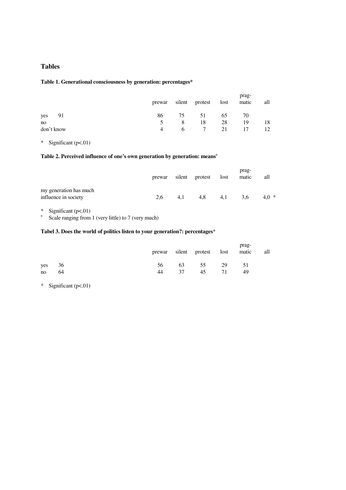# **Tables**

# **Table 1. Generational consciousness by generation: percentages\***

|             |        |   | prewar silent protest lost |    | prag-<br>matic | all |
|-------------|--------|---|----------------------------|----|----------------|-----|
| - 91<br>yes | 86     |   | 75 51 65                   |    | 70             |     |
| no          | $\sim$ | 8 | 18                         | 28 | 19             | 18  |
| don't know  | 4      |   | 6 7 21                     |    | 17             | 12  |

\* Significant (p<.01)

## **Table 2. Perceived influence of one's own generation by generation: means** a

|                                                                                                                                                                                                                                                                                                                                                            | prewar | silent | protest | lost | prag-<br>matic | all     |
|------------------------------------------------------------------------------------------------------------------------------------------------------------------------------------------------------------------------------------------------------------------------------------------------------------------------------------------------------------|--------|--------|---------|------|----------------|---------|
| my generation has much<br>influence in society                                                                                                                                                                                                                                                                                                             | 2.6    | 4.1    | 4.8     | 4.1  | 3.6            | $4,0$ * |
| $\pm$ $\alpha$ : $\alpha$ : $\alpha$ : $\alpha$ : $\alpha$ : $\alpha$ : $\alpha$ : $\alpha$ : $\alpha$ : $\alpha$ : $\alpha$ : $\alpha$ : $\alpha$ : $\alpha$ : $\alpha$ : $\alpha$ : $\alpha$ : $\alpha$ : $\alpha$ : $\alpha$ : $\alpha$ : $\alpha$ : $\alpha$ : $\alpha$ : $\alpha$ : $\alpha$ : $\alpha$ : $\alpha$ : $\alpha$ : $\alpha$ : $\alpha$ : |        |        |         |      |                |         |

\* Significant (p<.01)

<sup>a</sup> Scale ranging from 1 (very little) to 7 (very much)

#### **Tabel 3. Does the world of politics listen to your generation?: percentages**\*

|           |            |          |    | prewar silent protest lost matic |    | prag-     | all |
|-----------|------------|----------|----|----------------------------------|----|-----------|-----|
| yes<br>no | - 36<br>64 | 56<br>44 | 37 | 63 55 29<br>45                   | 71 | -51<br>49 |     |

\* Significant (p<.01)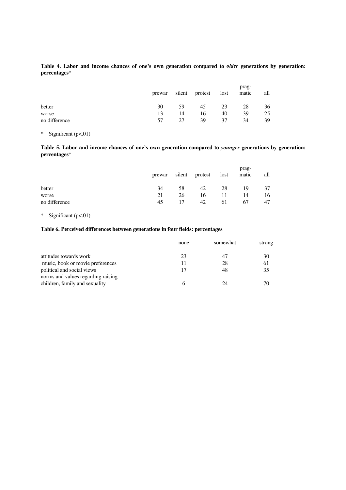**Table 4. Labor and income chances of one's own generation compared to** *older* **generations by generation: percentages**\*

|               | prewar | silent | protest | lost | prag-<br>matic | all |
|---------------|--------|--------|---------|------|----------------|-----|
| better        | 30     | 59     | 45      | 23   | 28             | 36  |
| worse         | 13     | 14     | 16      | 40   | 39             | 25  |
| no difference | 57     | 27     | 39      | 37   | 34             | 39  |

# \* Significant (p<.01)

**Table 5. Labor and income chances of one's own generation compared to** *younger* **generations by generation: percentages**\*

|               | prewar |    | silent protest lost |    | prag-<br>matic | all |
|---------------|--------|----|---------------------|----|----------------|-----|
| better        | 34     | 58 | 42                  | 28 | 19             | 37  |
| worse         | 21     | 26 | 16                  | 11 | 14             | 16  |
| no difference | 45     |    | 42                  | 61 | 67             | 47  |

# \* Significant  $(p<.01)$

#### **Table 6. Perceived differences between generations in four fields: percentages**

|                                    | none | somewhat | strong |
|------------------------------------|------|----------|--------|
| attitudes towards work             | 23   |          | 30     |
| music, book or movie preferences   | 11   | 28       | 61     |
| political and social views         | 17   | 48       | 35     |
| norms and values regarding raising |      |          |        |
| children, family and sexuality     |      |          | 70     |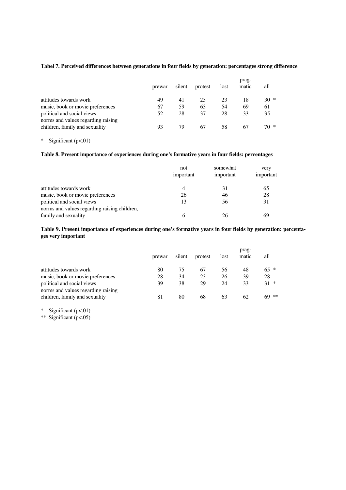#### **Tabel 7. Perceived differences between generations in four fields by generation: percentages strong difference**

|                                                                  | prewar | silent | protest | lost | prag-<br>matic | all    |
|------------------------------------------------------------------|--------|--------|---------|------|----------------|--------|
| attitudes towards work                                           | 49     | 41     | 25      | 23   | 18             | $30 *$ |
| music, book or movie preferences                                 | 67     | 59     | 63      | 54   | 69             | 61     |
| political and social views<br>norms and values regarding raising | 52     | 28     | 37      | 28   | 33             | 35     |
| children, family and sexuality                                   | 93     | 79     | 67      | 58   | 67             | $70*$  |

\* Significant (p<.01)

# **Table 8. Present importance of experiences during one's formative years in four fields: percentages**

|                                                                            | not<br>important | somewhat<br>important | very<br>important |
|----------------------------------------------------------------------------|------------------|-----------------------|-------------------|
| attitudes towards work                                                     |                  | 31                    | 65                |
| music, book or movie preferences                                           | 26               | 46                    | 28                |
| political and social views<br>norms and values regarding raising children, | 13               | 56                    | 31                |
| family and sexuality                                                       |                  | 26                    | 69                |

#### **Table 9. Present importance of experiences during one's formative years in four fields by generation: percentages very important**

|                                                                  | prewar | silent | protest | lost | prag-<br>matic | all     |
|------------------------------------------------------------------|--------|--------|---------|------|----------------|---------|
| attitudes towards work                                           | 80     | 75     | 67      | 56   | 48             | $65 *$  |
| music, book or movie preferences                                 | 28     | 34     | 23      | 26   | 39             | 28      |
| political and social views<br>norms and values regarding raising | 39     | 38     | 29      | 24   | 33             | $31 *$  |
| children, family and sexuality                                   | 81     | 80     | 68      | 63   | 62             | $69$ ** |

\* Significant (p<.01)

\*\* Significant (p<.05)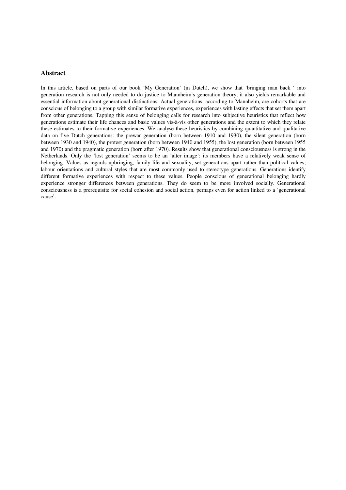# **Abstract**

In this article, based on parts of our book 'My Generation' (in Dutch), we show that 'bringing man back ' into generation research is not only needed to do justice to Mannheim's generation theory, it also yields remarkable and essential information about generational distinctions. Actual generations, according to Mannheim, are cohorts that are conscious of belonging to a group with similar formative experiences, experiences with lasting effects that set them apart from other generations. Tapping this sense of belonging calls for research into subjective heuristics that reflect how generations estimate their life chances and basic values vis-à-vis other generations and the extent to which they relate these estimates to their formative experiences. We analyse these heuristics by combining quantitative and qualitative data on five Dutch generations: the prewar generation (born between 1910 and 1930), the silent generation (born between 1930 and 1940), the protest generation (born between 1940 and 1955), the lost generation (born between 1955 and 1970) and the pragmatic generation (born after 1970). Results show that generational consciousness is strong in the Netherlands. Only the 'lost generation' seems to be an 'alter image': its members have a relatively weak sense of belonging. Values as regards upbringing, family life and sexuality, set generations apart rather than political values, labour orientations and cultural styles that are most commonly used to stereotype generations. Generations identify different formative experiences with respect to these values. People conscious of generational belonging hardly experience stronger differences between generations. They do seem to be more involved socially. Generational consciousness is a prerequisite for social cohesion and social action, perhaps even for action linked to a 'generational cause'.